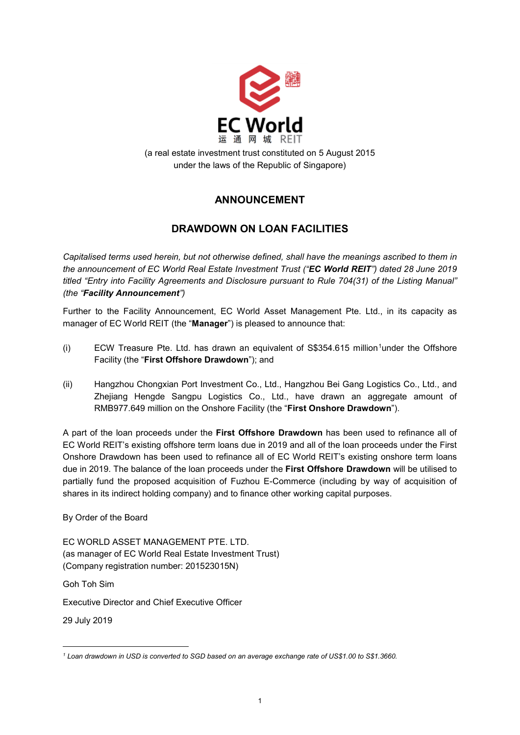

(a real estate investment trust constituted on 5 August 2015 under the laws of the Republic of Singapore)

## **ANNOUNCEMENT**

## **DRAWDOWN ON LOAN FACILITIES**

*Capitalised terms used herein, but not otherwise defined, shall have the meanings ascribed to them in the announcement of EC World Real Estate Investment Trust ("EC World REIT") dated 28 June 2019 titled "Entry into Facility Agreements and Disclosure pursuant to Rule 704(31) of the Listing Manual" (the "Facility Announcement")*

Further to the Facility Announcement, EC World Asset Management Pte. Ltd., in its capacity as manager of EC World REIT (the "**Manager**") is pleased to announce that:

- $(i)$  ECW Treasure Pte. Ltd. has drawn an equivalent of S\$354.6[1](#page-0-0)5 million<sup>1</sup>under the Offshore Facility (the "**First Offshore Drawdown**"); and
- (ii) Hangzhou Chongxian Port Investment Co., Ltd., Hangzhou Bei Gang Logistics Co., Ltd., and Zhejiang Hengde Sangpu Logistics Co., Ltd., have drawn an aggregate amount of RMB977.649 million on the Onshore Facility (the "**First Onshore Drawdown**").

A part of the loan proceeds under the **First Offshore Drawdown** has been used to refinance all of EC World REIT's existing offshore term loans due in 2019 and all of the loan proceeds under the First Onshore Drawdown has been used to refinance all of EC World REIT's existing onshore term loans due in 2019. The balance of the loan proceeds under the **First Offshore Drawdown** will be utilised to partially fund the proposed acquisition of Fuzhou E-Commerce (including by way of acquisition of shares in its indirect holding company) and to finance other working capital purposes.

By Order of the Board

EC WORLD ASSET MANAGEMENT PTE. LTD. (as manager of EC World Real Estate Investment Trust) (Company registration number: 201523015N)

Goh Toh Sim

Executive Director and Chief Executive Officer

29 July 2019

-

<span id="page-0-0"></span>*<sup>1</sup> Loan drawdown in USD is converted to SGD based on an average exchange rate of US\$1.00 to S\$1.3660.*